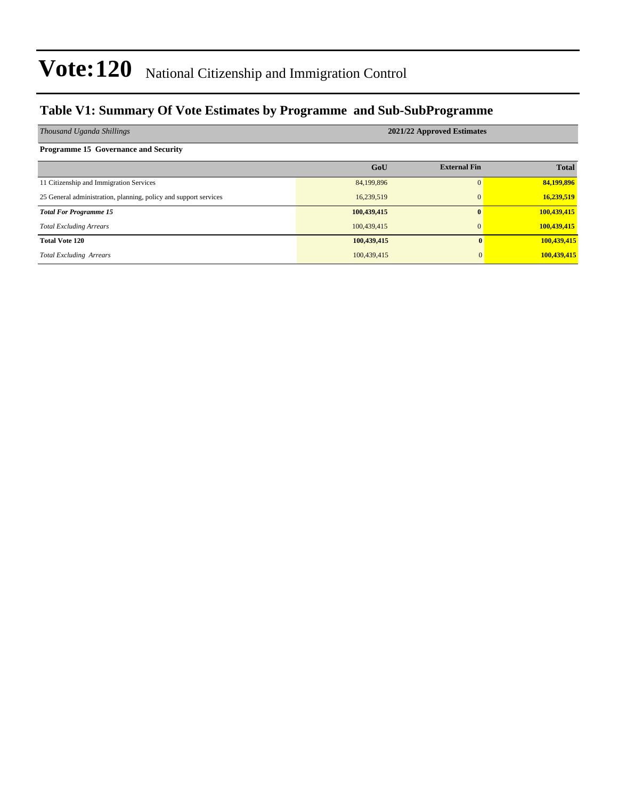### **Table V1: Summary Of Vote Estimates by Programme and Sub-SubProgramme**

| Thousand Uganda Shillings                                        | 2021/22 Approved Estimates |                     |              |  |  |  |  |  |
|------------------------------------------------------------------|----------------------------|---------------------|--------------|--|--|--|--|--|
| <b>Programme 15 Governance and Security</b>                      |                            |                     |              |  |  |  |  |  |
|                                                                  | GoU                        | <b>External Fin</b> | <b>Total</b> |  |  |  |  |  |
| 11 Citizenship and Immigration Services                          | 84,199,896                 |                     | 84,199,896   |  |  |  |  |  |
| 25 General administration, planning, policy and support services | 16,239,519                 |                     | 16,239,519   |  |  |  |  |  |
| <b>Total For Programme 15</b>                                    | 100,439,415                |                     | 100,439,415  |  |  |  |  |  |
| <b>Total Excluding Arrears</b>                                   | 100,439,415                |                     | 100,439,415  |  |  |  |  |  |
| <b>Total Vote 120</b>                                            | 100,439,415                | $\mathbf{0}$        | 100,439,415  |  |  |  |  |  |
| <b>Total Excluding Arrears</b>                                   | 100,439,415                | $\Omega$            | 100,439,415  |  |  |  |  |  |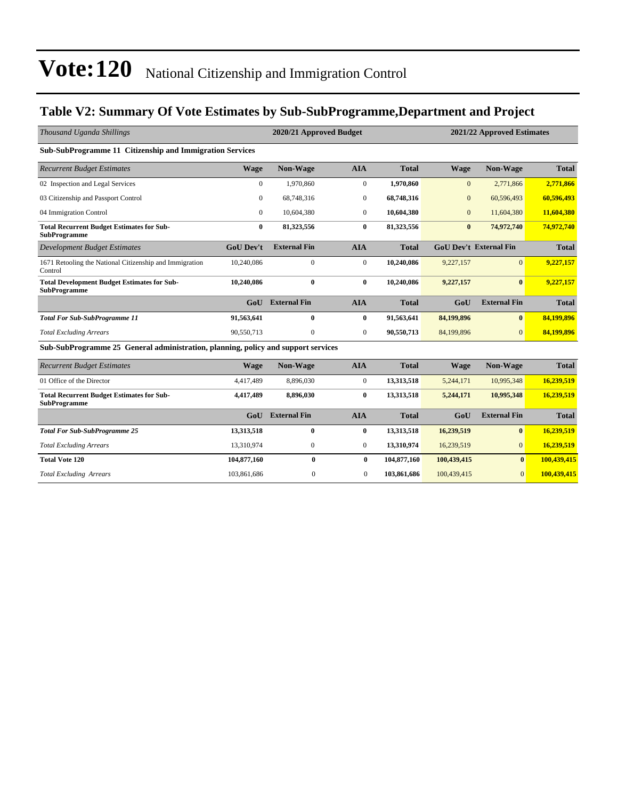### **Table V2: Summary Of Vote Estimates by Sub-SubProgramme,Department and Project**

| Thousand Uganda Shillings                                                         |                  | 2020/21 Approved Budget |                |              |                  | 2021/22 Approved Estimates    |              |  |  |  |
|-----------------------------------------------------------------------------------|------------------|-------------------------|----------------|--------------|------------------|-------------------------------|--------------|--|--|--|
| Sub-SubProgramme 11 Citizenship and Immigration Services                          |                  |                         |                |              |                  |                               |              |  |  |  |
| <b>Recurrent Budget Estimates</b>                                                 | <b>Wage</b>      | <b>Non-Wage</b>         | <b>AIA</b>     | <b>Total</b> | <b>Wage</b>      | Non-Wage                      | <b>Total</b> |  |  |  |
| 02 Inspection and Legal Services                                                  | $\mathbf{0}$     | 1.970.860               | $\overline{0}$ | 1,970,860    | $\mathbf{0}$     | 2.771.866                     | 2,771,866    |  |  |  |
| 03 Citizenship and Passport Control                                               | $\mathbf{0}$     | 68,748,316              | $\mathbf{0}$   | 68,748,316   | $\boldsymbol{0}$ | 60,596,493                    | 60,596,493   |  |  |  |
| 04 Immigration Control                                                            | $\mathbf{0}$     | 10,604,380              | $\mathbf{0}$   | 10,604,380   | $\mathbf{0}$     | 11,604,380                    | 11,604,380   |  |  |  |
| <b>Total Recurrent Budget Estimates for Sub-</b><br><b>SubProgramme</b>           | $\bf{0}$         | 81,323,556              | $\bf{0}$       | 81,323,556   | $\bf{0}$         | 74,972,740                    | 74,972,740   |  |  |  |
| <b>Development Budget Estimates</b>                                               | <b>GoU Dev't</b> | <b>External Fin</b>     | <b>AIA</b>     | <b>Total</b> |                  | <b>GoU Dev't External Fin</b> | <b>Total</b> |  |  |  |
| 1671 Retooling the National Citizenship and Immigration<br>Control                | 10,240,086       | $\overline{0}$          | $\mathbf{0}$   | 10,240,086   | 9,227,157        | $\overline{0}$                | 9,227,157    |  |  |  |
| <b>Total Development Budget Estimates for Sub-</b><br><b>SubProgramme</b>         | 10,240,086       | $\bf{0}$                | $\bf{0}$       | 10,240,086   | 9,227,157        | $\mathbf{0}$                  | 9,227,157    |  |  |  |
|                                                                                   | GoU              | <b>External Fin</b>     | <b>AIA</b>     | <b>Total</b> | GoU              | <b>External Fin</b>           | <b>Total</b> |  |  |  |
| <b>Total For Sub-SubProgramme 11</b>                                              | 91,563,641       | $\bf{0}$                | $\bf{0}$       | 91,563,641   | 84,199,896       | $\mathbf{0}$                  | 84,199,896   |  |  |  |
| <b>Total Excluding Arrears</b>                                                    | 90,550,713       | $\Omega$                | $\Omega$       | 90,550,713   | 84,199,896       | $\Omega$                      | 84,199,896   |  |  |  |
| Sub-SubProgramme 25 General administration, planning, policy and support services |                  |                         |                |              |                  |                               |              |  |  |  |
| <b>Recurrent Budget Estimates</b>                                                 | <b>Wage</b>      | <b>Non-Wage</b>         | <b>AIA</b>     | <b>Total</b> | <b>Wage</b>      | Non-Wage                      | <b>Total</b> |  |  |  |
| 01 Office of the Director                                                         | 4,417,489        | 8,896,030               | $\mathbf{0}$   | 13,313,518   | 5,244,171        | 10,995,348                    | 16,239,519   |  |  |  |
| <b>Total Recurrent Budget Estimates for Sub-</b><br><b>SubProgramme</b>           | 4,417,489        | 8,896,030               | $\bf{0}$       | 13,313,518   | 5,244,171        | 10,995,348                    | 16,239,519   |  |  |  |
|                                                                                   | GoU              | <b>External Fin</b>     | <b>AIA</b>     | <b>Total</b> | GoU              | <b>External Fin</b>           | <b>Total</b> |  |  |  |
| <b>Total For Sub-SubProgramme 25</b>                                              | 13,313,518       | $\bf{0}$                | $\bf{0}$       | 13,313,518   | 16,239,519       | $\bf{0}$                      | 16,239,519   |  |  |  |
| <b>Total Excluding Arrears</b>                                                    | 13,310,974       | $\overline{0}$          | $\overline{0}$ | 13,310,974   | 16,239,519       | $\mathbf{0}$                  | 16,239,519   |  |  |  |
| <b>Total Vote 120</b>                                                             | 104,877,160      | $\bf{0}$                | $\bf{0}$       | 104,877,160  | 100,439,415      | $\mathbf{0}$                  | 100,439,415  |  |  |  |
| <b>Total Excluding Arrears</b>                                                    | 103.861.686      | $\mathbf{0}$            | $\mathbf{0}$   | 103,861,686  | 100,439,415      | $\mathbf{0}$                  | 100.439.415  |  |  |  |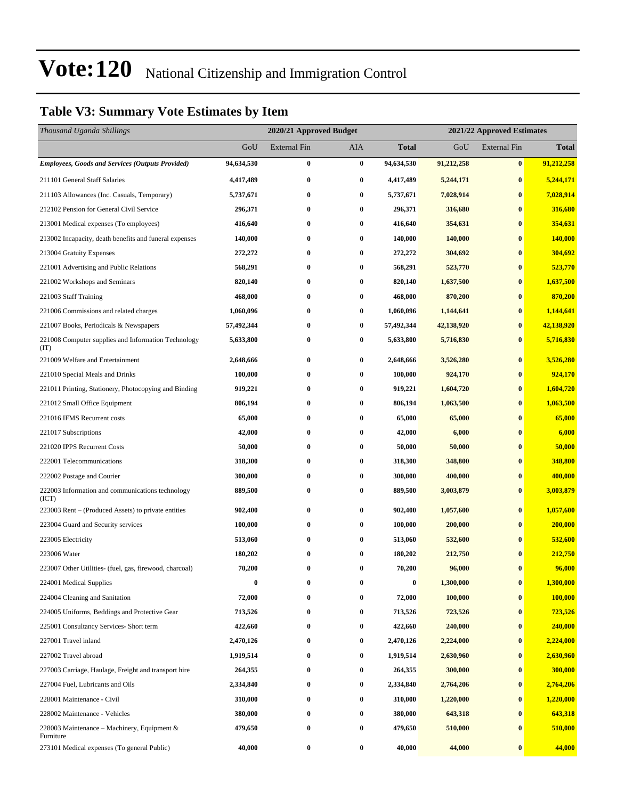### **Table V3: Summary Vote Estimates by Item**

| Thousand Uganda Shillings                                   |            | 2020/21 Approved Budget |                  |              |            | 2021/22 Approved Estimates |              |  |
|-------------------------------------------------------------|------------|-------------------------|------------------|--------------|------------|----------------------------|--------------|--|
|                                                             | GoU        | <b>External Fin</b>     | AIA              | <b>Total</b> | GoU        | <b>External Fin</b>        | <b>Total</b> |  |
| <b>Employees, Goods and Services (Outputs Provided)</b>     | 94,634,530 | $\bf{0}$                | $\bf{0}$         | 94,634,530   | 91,212,258 | $\bf{0}$                   | 91,212,258   |  |
| 211101 General Staff Salaries                               | 4,417,489  | $\bf{0}$                | 0                | 4,417,489    | 5,244,171  | $\bf{0}$                   | 5,244,171    |  |
| 211103 Allowances (Inc. Casuals, Temporary)                 | 5,737,671  | 0                       | $\bf{0}$         | 5,737,671    | 7,028,914  | $\bf{0}$                   | 7,028,914    |  |
| 212102 Pension for General Civil Service                    | 296,371    | $\bf{0}$                | $\bf{0}$         | 296,371      | 316,680    | $\bf{0}$                   | 316,680      |  |
| 213001 Medical expenses (To employees)                      | 416,640    | $\bf{0}$                | $\bf{0}$         | 416,640      | 354,631    | $\bf{0}$                   | 354,631      |  |
| 213002 Incapacity, death benefits and funeral expenses      | 140,000    | $\bf{0}$                | $\bf{0}$         | 140,000      | 140,000    | $\bf{0}$                   | 140,000      |  |
| 213004 Gratuity Expenses                                    | 272,272    | $\bf{0}$                | 0                | 272,272      | 304,692    | $\bf{0}$                   | 304,692      |  |
| 221001 Advertising and Public Relations                     | 568,291    | 0                       | $\bf{0}$         | 568,291      | 523,770    | $\bf{0}$                   | 523,770      |  |
| 221002 Workshops and Seminars                               | 820,140    | $\bf{0}$                | $\bf{0}$         | 820,140      | 1,637,500  | $\bf{0}$                   | 1,637,500    |  |
| 221003 Staff Training                                       | 468,000    | $\bf{0}$                | 0                | 468,000      | 870,200    | $\bf{0}$                   | 870,200      |  |
| 221006 Commissions and related charges                      | 1,060,096  | $\bf{0}$                | 0                | 1,060,096    | 1,144,641  | $\bf{0}$                   | 1,144,641    |  |
| 221007 Books, Periodicals & Newspapers                      | 57,492,344 | $\bf{0}$                | $\bf{0}$         | 57,492,344   | 42,138,920 | $\bf{0}$                   | 42,138,920   |  |
| 221008 Computer supplies and Information Technology<br>(TT) | 5,633,800  | 0                       | $\bf{0}$         | 5,633,800    | 5,716,830  | $\bf{0}$                   | 5,716,830    |  |
| 221009 Welfare and Entertainment                            | 2,648,666  | $\bf{0}$                | $\bf{0}$         | 2,648,666    | 3,526,280  | $\bf{0}$                   | 3,526,280    |  |
| 221010 Special Meals and Drinks                             | 100,000    | $\bf{0}$                | 0                | 100,000      | 924,170    | $\bf{0}$                   | 924,170      |  |
| 221011 Printing, Stationery, Photocopying and Binding       | 919,221    | 0                       | $\bf{0}$         | 919,221      | 1,604,720  | $\bf{0}$                   | 1,604,720    |  |
| 221012 Small Office Equipment                               | 806,194    | 0                       | $\bf{0}$         | 806,194      | 1,063,500  | $\bf{0}$                   | 1,063,500    |  |
| 221016 IFMS Recurrent costs                                 | 65,000     | $\bf{0}$                | $\bf{0}$         | 65,000       | 65,000     | $\bf{0}$                   | 65,000       |  |
| 221017 Subscriptions                                        | 42,000     | $\bf{0}$                | $\bf{0}$         | 42,000       | 6,000      | $\bf{0}$                   | 6,000        |  |
| 221020 IPPS Recurrent Costs                                 | 50,000     | $\bf{0}$                | $\bf{0}$         | 50,000       | 50,000     | $\bf{0}$                   | 50,000       |  |
| 222001 Telecommunications                                   | 318,300    | 0                       | $\bf{0}$         | 318,300      | 348,800    | $\bf{0}$                   | 348,800      |  |
| 222002 Postage and Courier                                  | 300,000    | 0                       | $\bf{0}$         | 300,000      | 400,000    | $\bf{0}$                   | 400,000      |  |
| 222003 Information and communications technology<br>(ICT)   | 889,500    | $\bf{0}$                | $\bf{0}$         | 889,500      | 3,003,879  | $\bf{0}$                   | 3,003,879    |  |
| 223003 Rent – (Produced Assets) to private entities         | 902,400    | $\bf{0}$                | $\bf{0}$         | 902,400      | 1,057,600  | $\bf{0}$                   | 1,057,600    |  |
| 223004 Guard and Security services                          | 100,000    | $\bf{0}$                | 0                | 100,000      | 200,000    | $\bf{0}$                   | 200,000      |  |
| 223005 Electricity                                          | 513,060    | 0                       | $\bf{0}$         | 513,060      | 532,600    | $\bf{0}$                   | 532,600      |  |
| 223006 Water                                                | 180,202    | 0                       | $\bf{0}$         | 180,202      | 212,750    | $\bf{0}$                   | 212,750      |  |
| 223007 Other Utilities- (fuel, gas, firewood, charcoal)     | 70,200     | $\bf{0}$                | $\bf{0}$         | 70,200       | 96,000     | $\bf{0}$                   | 96,000       |  |
| 224001 Medical Supplies                                     | $\bf{0}$   | $\bf{0}$                | $\bf{0}$         | $\bf{0}$     | 1,300,000  | $\bf{0}$                   | 1,300,000    |  |
| 224004 Cleaning and Sanitation                              | 72,000     | 0                       | 0                | 72,000       | 100,000    | $\bf{0}$                   | 100,000      |  |
| 224005 Uniforms, Beddings and Protective Gear               | 713,526    | $\bf{0}$                | $\boldsymbol{0}$ | 713,526      | 723,526    | $\bf{0}$                   | 723,526      |  |
| 225001 Consultancy Services- Short term                     | 422,660    | 0                       | 0                | 422,660      | 240,000    | $\bf{0}$                   | 240,000      |  |
| 227001 Travel inland                                        | 2,470,126  | $\bf{0}$                | $\bf{0}$         | 2,470,126    | 2,224,000  | $\bf{0}$                   | 2,224,000    |  |
| 227002 Travel abroad                                        | 1,919,514  | $\bf{0}$                | $\bf{0}$         | 1,919,514    | 2,630,960  | $\bf{0}$                   | 2,630,960    |  |
| 227003 Carriage, Haulage, Freight and transport hire        | 264,355    | $\bf{0}$                | 0                | 264,355      | 300,000    | $\bf{0}$                   | 300,000      |  |
| 227004 Fuel, Lubricants and Oils                            | 2,334,840  | $\bf{0}$                | $\bf{0}$         | 2,334,840    | 2,764,206  | $\bf{0}$                   | 2,764,206    |  |
| 228001 Maintenance - Civil                                  | 310,000    | 0                       | $\bf{0}$         | 310,000      | 1,220,000  | $\bf{0}$                   | 1,220,000    |  |
| 228002 Maintenance - Vehicles                               | 380,000    | $\bf{0}$                | $\boldsymbol{0}$ | 380,000      | 643,318    | $\bf{0}$                   | 643,318      |  |
| 228003 Maintenance – Machinery, Equipment &<br>Furniture    | 479,650    | $\bf{0}$                | 0                | 479,650      | 510,000    | $\bf{0}$                   | 510,000      |  |
| 273101 Medical expenses (To general Public)                 | 40,000     | $\bf{0}$                | $\bf{0}$         | 40,000       | 44,000     | $\bf{0}$                   | 44,000       |  |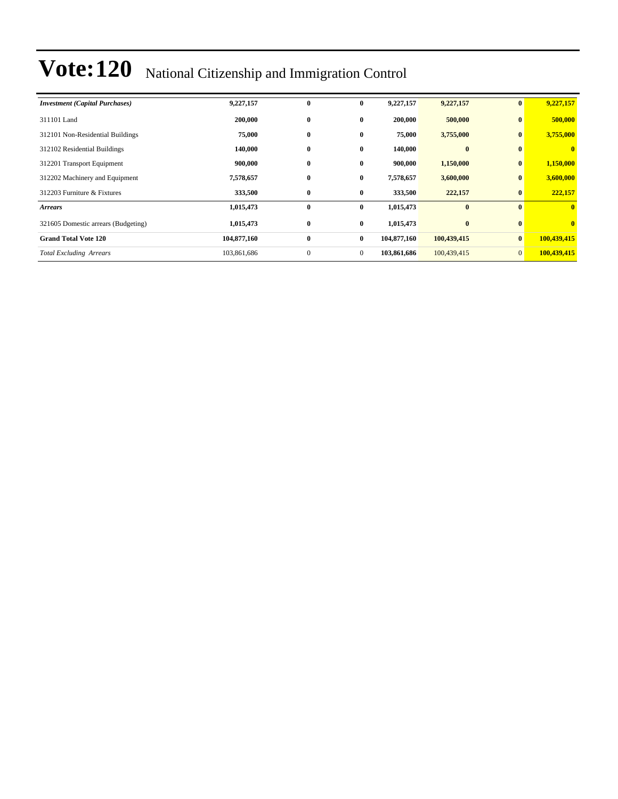| <b>Investment</b> (Capital Purchases) | 9,227,157   | $\bf{0}$       | $\bf{0}$     | 9,227,157   | 9,227,157   | $\mathbf{0}$   | 9,227,157    |
|---------------------------------------|-------------|----------------|--------------|-------------|-------------|----------------|--------------|
| 311101 Land                           | 200,000     | $\bf{0}$       | $\bf{0}$     | 200,000     | 500,000     | $\mathbf{0}$   | 500,000      |
| 312101 Non-Residential Buildings      | 75,000      | $\bf{0}$       | $\bf{0}$     | 75,000      | 3,755,000   | $\mathbf{0}$   | 3,755,000    |
| 312102 Residential Buildings          | 140,000     | $\bf{0}$       | $\bf{0}$     | 140,000     | $\bf{0}$    |                | $\mathbf{0}$ |
| 312201 Transport Equipment            | 900,000     | $\bf{0}$       | $\bf{0}$     | 900,000     | 1,150,000   | $\bf{0}$       | 1,150,000    |
| 312202 Machinery and Equipment        | 7,578,657   | $\bf{0}$       | $\bf{0}$     | 7,578,657   | 3,600,000   | $\bf{0}$       | 3,600,000    |
| 312203 Furniture & Fixtures           | 333,500     | $\bf{0}$       | $\bf{0}$     | 333,500     | 222,157     | $\mathbf{0}$   | 222,157      |
| <b>Arrears</b>                        | 1,015,473   | $\bf{0}$       | $\bf{0}$     | 1,015,473   | $\bf{0}$    | $\mathbf{0}$   | $\mathbf{0}$ |
| 321605 Domestic arrears (Budgeting)   | 1,015,473   | $\bf{0}$       | $\bf{0}$     | 1,015,473   | $\bf{0}$    |                | $\mathbf{0}$ |
| <b>Grand Total Vote 120</b>           | 104,877,160 | $\bf{0}$       | $\bf{0}$     | 104,877,160 | 100,439,415 | $\mathbf{0}$   | 100,439,415  |
| <b>Total Excluding Arrears</b>        | 103,861,686 | $\overline{0}$ | $\mathbf{0}$ | 103,861,686 | 100,439,415 | $\overline{0}$ | 100,439,415  |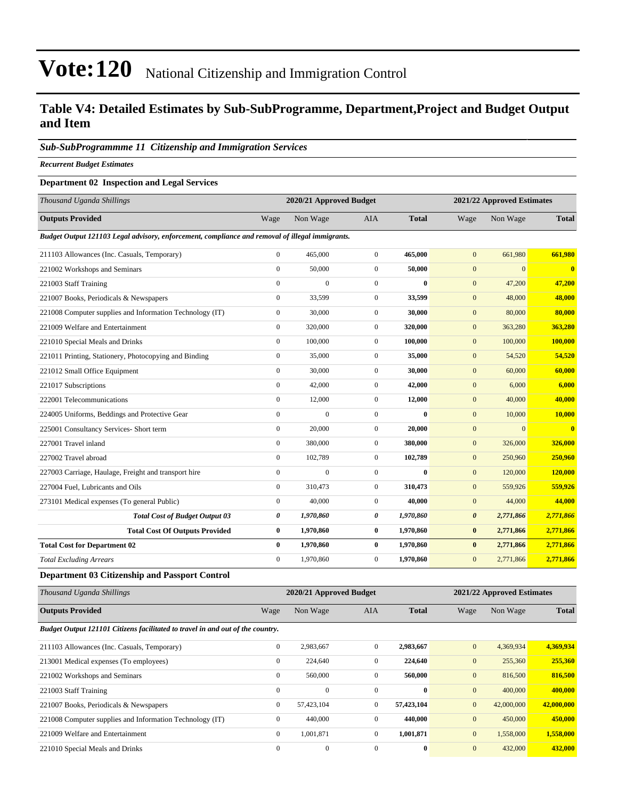### **Table V4: Detailed Estimates by Sub-SubProgramme, Department,Project and Budget Output and Item**

#### *Sub-SubProgrammme 11 Citizenship and Immigration Services*

*Recurrent Budget Estimates*

#### **Department 02 Inspection and Legal Services**

| Thousand Uganda Shillings                                                                       |                  | 2020/21 Approved Budget |                  | 2021/22 Approved Estimates |                       |              |                         |
|-------------------------------------------------------------------------------------------------|------------------|-------------------------|------------------|----------------------------|-----------------------|--------------|-------------------------|
| <b>Outputs Provided</b>                                                                         | Wage             | Non Wage                | <b>AIA</b>       | <b>Total</b>               | Wage                  | Non Wage     | <b>Total</b>            |
| Budget Output 121103 Legal advisory, enforcement, compliance and removal of illegal immigrants. |                  |                         |                  |                            |                       |              |                         |
| 211103 Allowances (Inc. Casuals, Temporary)                                                     | $\mathbf{0}$     | 465,000                 | $\mathbf{0}$     | 465,000                    | $\mathbf{0}$          | 661,980      | 661,980                 |
| 221002 Workshops and Seminars                                                                   | $\mathbf{0}$     | 50,000                  | $\overline{0}$   | 50,000                     | $\mathbf{0}$          | $\mathbf{0}$ | $\overline{\mathbf{0}}$ |
| 221003 Staff Training                                                                           | $\mathbf{0}$     | $\overline{0}$          | $\overline{0}$   | $\bf{0}$                   | $\mathbf{0}$          | 47,200       | 47,200                  |
| 221007 Books, Periodicals & Newspapers                                                          | $\mathbf{0}$     | 33,599                  | $\overline{0}$   | 33,599                     | $\mathbf{0}$          | 48,000       | 48,000                  |
| 221008 Computer supplies and Information Technology (IT)                                        | $\mathbf{0}$     | 30,000                  | $\overline{0}$   | 30,000                     | $\mathbf{0}$          | 80,000       | 80,000                  |
| 221009 Welfare and Entertainment                                                                | $\mathbf{0}$     | 320,000                 | $\overline{0}$   | 320,000                    | $\mathbf{0}$          | 363,280      | 363,280                 |
| 221010 Special Meals and Drinks                                                                 | $\mathbf{0}$     | 100,000                 | $\overline{0}$   | 100,000                    | $\mathbf{0}$          | 100,000      | 100,000                 |
| 221011 Printing, Stationery, Photocopying and Binding                                           | $\mathbf{0}$     | 35,000                  | $\overline{0}$   | 35,000                     | $\mathbf{0}$          | 54,520       | 54,520                  |
| 221012 Small Office Equipment                                                                   | $\mathbf{0}$     | 30,000                  | $\overline{0}$   | 30,000                     | $\mathbf{0}$          | 60,000       | 60,000                  |
| 221017 Subscriptions                                                                            | $\mathbf{0}$     | 42,000                  | $\overline{0}$   | 42,000                     | $\mathbf{0}$          | 6,000        | 6,000                   |
| 222001 Telecommunications                                                                       | $\mathbf{0}$     | 12,000                  | $\overline{0}$   | 12,000                     | $\mathbf{0}$          | 40,000       | 40,000                  |
| 224005 Uniforms, Beddings and Protective Gear                                                   | $\mathbf{0}$     | $\mathbf{0}$            | $\overline{0}$   | $\bf{0}$                   | $\mathbf{0}$          | 10,000       | 10,000                  |
| 225001 Consultancy Services- Short term                                                         | $\mathbf{0}$     | 20,000                  | $\overline{0}$   | 20,000                     | $\mathbf{0}$          | $\Omega$     | $\overline{0}$          |
| 227001 Travel inland                                                                            | $\theta$         | 380,000                 | $\overline{0}$   | 380,000                    | $\mathbf{0}$          | 326,000      | 326,000                 |
| 227002 Travel abroad                                                                            | $\mathbf{0}$     | 102,789                 | $\overline{0}$   | 102,789                    | $\mathbf{0}$          | 250,960      | 250,960                 |
| 227003 Carriage, Haulage, Freight and transport hire                                            | $\mathbf{0}$     | $\overline{0}$          | $\overline{0}$   | $\bf{0}$                   | $\mathbf{0}$          | 120,000      | 120,000                 |
| 227004 Fuel, Lubricants and Oils                                                                | $\boldsymbol{0}$ | 310,473                 | $\boldsymbol{0}$ | 310,473                    | $\mathbf{0}$          | 559,926      | 559,926                 |
| 273101 Medical expenses (To general Public)                                                     | $\mathbf{0}$     | 40,000                  | $\overline{0}$   | 40,000                     | $\mathbf{0}$          | 44,000       | 44,000                  |
| <b>Total Cost of Budget Output 03</b>                                                           | 0                | 1,970,860               | 0                | 1,970,860                  | $\boldsymbol{\theta}$ | 2,771,866    | 2,771,866               |
| <b>Total Cost Of Outputs Provided</b>                                                           | $\bf{0}$         | 1,970,860               | $\bf{0}$         | 1,970,860                  | $\bf{0}$              | 2,771,866    | 2,771,866               |
| <b>Total Cost for Department 02</b>                                                             | $\bf{0}$         | 1,970,860               | $\bf{0}$         | 1,970,860                  | $\bf{0}$              | 2,771,866    | 2,771,866               |
| <b>Total Excluding Arrears</b>                                                                  | $\mathbf{0}$     | 1,970,860               | $\overline{0}$   | 1,970,860                  | $\mathbf{0}$          | 2,771,866    | 2,771,866               |

#### **Department 03 Citizenship and Passport Control**

| Thousand Uganda Shillings                                                      |              | 2020/21 Approved Budget |                |              |              | 2021/22 Approved Estimates |              |  |
|--------------------------------------------------------------------------------|--------------|-------------------------|----------------|--------------|--------------|----------------------------|--------------|--|
| <b>Outputs Provided</b>                                                        | Wage         | Non Wage                | AIA            | <b>Total</b> | Wage         | Non Wage                   | <b>Total</b> |  |
| Budget Output 121101 Citizens facilitated to travel in and out of the country. |              |                         |                |              |              |                            |              |  |
| 211103 Allowances (Inc. Casuals, Temporary)                                    | $\mathbf{0}$ | 2,983,667               | $\overline{0}$ | 2,983,667    | $\mathbf{0}$ | 4,369,934                  | 4,369,934    |  |
| 213001 Medical expenses (To employees)                                         | $\mathbf{0}$ | 224,640                 | $\mathbf{0}$   | 224,640      | $\mathbf{0}$ | 255,360                    | 255,360      |  |
| 221002 Workshops and Seminars                                                  | $\mathbf{0}$ | 560,000                 | $\mathbf{0}$   | 560,000      | $\mathbf{0}$ | 816,500                    | 816,500      |  |
| 221003 Staff Training                                                          | $\mathbf{0}$ | $\Omega$                | $\Omega$       | $\mathbf{0}$ | $\mathbf{0}$ | 400,000                    | 400,000      |  |
| 221007 Books, Periodicals & Newspapers                                         | $\mathbf{0}$ | 57,423,104              | $\overline{0}$ | 57,423,104   | $\mathbf{0}$ | 42,000,000                 | 42,000,000   |  |
| 221008 Computer supplies and Information Technology (IT)                       | $\mathbf{0}$ | 440,000                 | $\mathbf{0}$   | 440,000      | $\mathbf{0}$ | 450,000                    | 450,000      |  |
| 221009 Welfare and Entertainment                                               | $\mathbf{0}$ | 1,001,871               | $\mathbf{0}$   | 1,001,871    | $\mathbf{0}$ | 1,558,000                  | 1,558,000    |  |
| 221010 Special Meals and Drinks                                                | $\mathbf{0}$ | $\mathbf{0}$            | $\Omega$       | $\bf{0}$     | $\mathbf{0}$ | 432,000                    | 432,000      |  |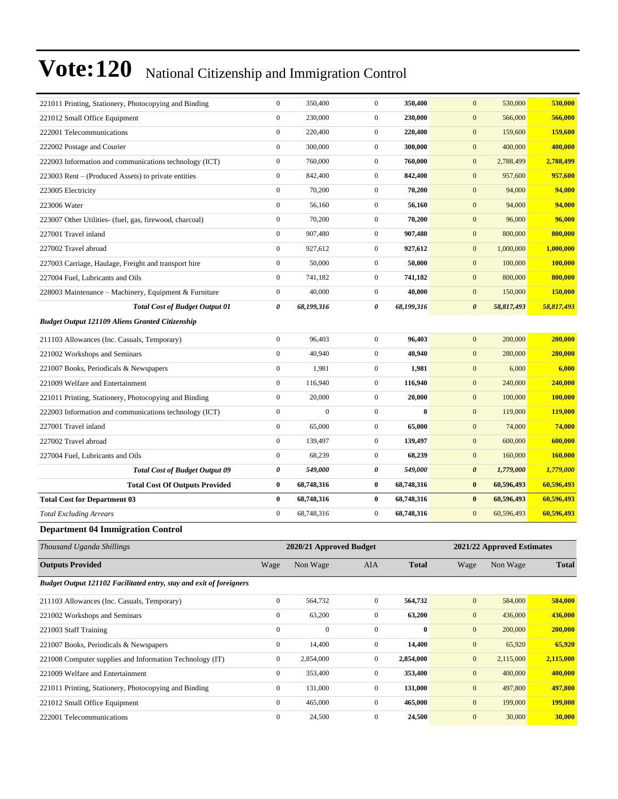| 221011 Printing, Stationery, Photocopying and Binding                      | $\boldsymbol{0}$ | 350,400                 | $\mathbf{0}$     | 350,400      | $\mathbf{0}$          | 530,000                    | 530,000        |
|----------------------------------------------------------------------------|------------------|-------------------------|------------------|--------------|-----------------------|----------------------------|----------------|
| 221012 Small Office Equipment                                              | $\boldsymbol{0}$ | 230,000                 | $\boldsymbol{0}$ | 230,000      | $\boldsymbol{0}$      | 566,000                    | 566,000        |
| 222001 Telecommunications                                                  | $\boldsymbol{0}$ | 220,400                 | $\boldsymbol{0}$ | 220,400      | $\mathbf{0}$          | 159,600                    | 159,600        |
| 222002 Postage and Courier                                                 | $\boldsymbol{0}$ | 300,000                 | $\boldsymbol{0}$ | 300,000      | $\boldsymbol{0}$      | 400,000                    | 400,000        |
| 222003 Information and communications technology (ICT)                     | $\boldsymbol{0}$ | 760,000                 | $\boldsymbol{0}$ | 760,000      | $\mathbf{0}$          | 2,788,499                  | 2,788,499      |
| 223003 Rent - (Produced Assets) to private entities                        | $\boldsymbol{0}$ | 842,400                 | $\boldsymbol{0}$ | 842,400      | $\mathbf{0}$          | 957,600                    | 957,600        |
| 223005 Electricity                                                         | $\boldsymbol{0}$ | 70,200                  | $\boldsymbol{0}$ | 70,200       | $\boldsymbol{0}$      | 94,000                     | 94,000         |
| 223006 Water                                                               | $\boldsymbol{0}$ | 56,160                  | $\boldsymbol{0}$ | 56,160       | $\mathbf{0}$          | 94,000                     | 94,000         |
| 223007 Other Utilities- (fuel, gas, firewood, charcoal)                    | $\boldsymbol{0}$ | 70,200                  | $\boldsymbol{0}$ | 70,200       | $\boldsymbol{0}$      | 96,000                     | 96,000         |
| 227001 Travel inland                                                       | $\boldsymbol{0}$ | 907,480                 | $\boldsymbol{0}$ | 907,480      | $\boldsymbol{0}$      | 800,000                    | 800,000        |
| 227002 Travel abroad                                                       | $\boldsymbol{0}$ | 927,612                 | $\boldsymbol{0}$ | 927,612      | $\mathbf{0}$          | 1,000,000                  | 1,000,000      |
| 227003 Carriage, Haulage, Freight and transport hire                       | $\boldsymbol{0}$ | 50,000                  | $\boldsymbol{0}$ | 50,000       | $\mathbf{0}$          | 100,000                    | 100,000        |
| 227004 Fuel, Lubricants and Oils                                           | $\boldsymbol{0}$ | 741,182                 | $\boldsymbol{0}$ | 741,182      | $\mathbf{0}$          | 800,000                    | 800,000        |
| 228003 Maintenance – Machinery, Equipment & Furniture                      | $\boldsymbol{0}$ | 40,000                  | $\boldsymbol{0}$ | 40,000       | $\boldsymbol{0}$      | 150,000                    | 150,000        |
| <b>Total Cost of Budget Output 01</b>                                      | 0                | 68,199,316              | 0                | 68,199,316   | $\boldsymbol{\theta}$ | 58,817,493                 | 58,817,493     |
| <b>Budget Output 121109 Aliens Granted Citizenship</b>                     |                  |                         |                  |              |                       |                            |                |
| 211103 Allowances (Inc. Casuals, Temporary)                                | $\boldsymbol{0}$ | 96,403                  | $\boldsymbol{0}$ | 96,403       | $\mathbf{0}$          | 200,000                    | 200,000        |
| 221002 Workshops and Seminars                                              | $\boldsymbol{0}$ | 40,940                  | $\boldsymbol{0}$ | 40,940       | $\mathbf{0}$          | 280,000                    | 280,000        |
| 221007 Books, Periodicals & Newspapers                                     | $\boldsymbol{0}$ | 1,981                   | $\boldsymbol{0}$ | 1,981        | $\mathbf{0}$          | 6,000                      | 6,000          |
| 221009 Welfare and Entertainment                                           | $\boldsymbol{0}$ | 116,940                 | $\boldsymbol{0}$ | 116,940      | $\boldsymbol{0}$      | 240,000                    | 240,000        |
| 221011 Printing, Stationery, Photocopying and Binding                      | $\boldsymbol{0}$ | 20,000                  | $\boldsymbol{0}$ | 20,000       | $\boldsymbol{0}$      | 100,000                    | <b>100,000</b> |
| 222003 Information and communications technology (ICT)                     | $\boldsymbol{0}$ | $\boldsymbol{0}$        | $\boldsymbol{0}$ | $\bf{0}$     | $\mathbf{0}$          | 119,000                    | 119,000        |
| 227001 Travel inland                                                       | $\boldsymbol{0}$ | 65,000                  | $\boldsymbol{0}$ | 65,000       | $\mathbf{0}$          | 74,000                     | 74,000         |
| 227002 Travel abroad                                                       | $\boldsymbol{0}$ | 139,497                 | $\boldsymbol{0}$ | 139,497      | $\mathbf{0}$          | 600,000                    | 600,000        |
| 227004 Fuel, Lubricants and Oils                                           | $\boldsymbol{0}$ | 68,239                  | $\boldsymbol{0}$ | 68,239       | $\boldsymbol{0}$      | 160,000                    | 160,000        |
| <b>Total Cost of Budget Output 09</b>                                      | 0                | 549,000                 | 0                | 549,000      | $\boldsymbol{\theta}$ | 1,779,000                  | 1,779,000      |
| <b>Total Cost Of Outputs Provided</b>                                      | $\bf{0}$         | 68,748,316              | 0                | 68,748,316   | $\bf{0}$              | 60,596,493                 | 60,596,493     |
| <b>Total Cost for Department 03</b>                                        | $\bf{0}$         | 68,748,316              | $\bf{0}$         | 68,748,316   | $\bf{0}$              | 60,596,493                 | 60,596,493     |
| <b>Total Excluding Arrears</b>                                             | $\boldsymbol{0}$ | 68,748,316              | $\boldsymbol{0}$ | 68,748,316   | $\mathbf{0}$          | 60,596,493                 | 60,596,493     |
| <b>Department 04 Immigration Control</b>                                   |                  |                         |                  |              |                       |                            |                |
| Thousand Uganda Shillings                                                  |                  | 2020/21 Approved Budget |                  |              |                       | 2021/22 Approved Estimates |                |
| <b>Outputs Provided</b>                                                    | Wage             | Non Wage                | AIA              | <b>Total</b> | Wage                  | Non Wage                   | <b>Total</b>   |
| <b>Budget Output 121102 Facilitated entry, stay and exit of foreigners</b> |                  |                         |                  |              |                       |                            |                |
| 211103 Allowances (Inc. Casuals, Temporary)                                | $\boldsymbol{0}$ | 564,732                 | $\boldsymbol{0}$ | 564,732      | $\mathbf{0}$          | 584,000                    | 584,000        |
| 221002 Workshops and Seminars                                              | $\boldsymbol{0}$ | 63,200                  | $\boldsymbol{0}$ | 63,200       | $\boldsymbol{0}$      | 436,000                    | 436,000        |
| 221003 Staff Training                                                      | $\boldsymbol{0}$ | $\boldsymbol{0}$        | $\boldsymbol{0}$ | $\bf{0}$     | $\mathbf{0}$          | 200,000                    | 200,000        |
| 221007 Books, Periodicals & Newspapers                                     | $\boldsymbol{0}$ | 14,400                  | $\boldsymbol{0}$ | 14,400       | $\mathbf{0}$          | 65,920                     | 65,920         |
| 221008 Computer supplies and Information Technology (IT)                   | $\boldsymbol{0}$ | 2,854,000               | $\boldsymbol{0}$ | 2,854,000    | $\boldsymbol{0}$      | 2,115,000                  | 2,115,000      |
| 221009 Welfare and Entertainment                                           | $\boldsymbol{0}$ | 353,400                 | $\boldsymbol{0}$ | 353,400      | $\mathbf{0}$          | 400,000                    | 400,000        |
| 221011 Printing, Stationery, Photocopying and Binding                      | $\boldsymbol{0}$ | 131,000                 | $\boldsymbol{0}$ | 131,000      | $\boldsymbol{0}$      | 497,800                    | 497,800        |
| 221012 Small Office Equipment                                              |                  |                         |                  |              |                       |                            |                |
|                                                                            | $\boldsymbol{0}$ | 465,000                 | $\boldsymbol{0}$ | 465,000      | $\mathbf{0}$          | 199,000                    | 199,000        |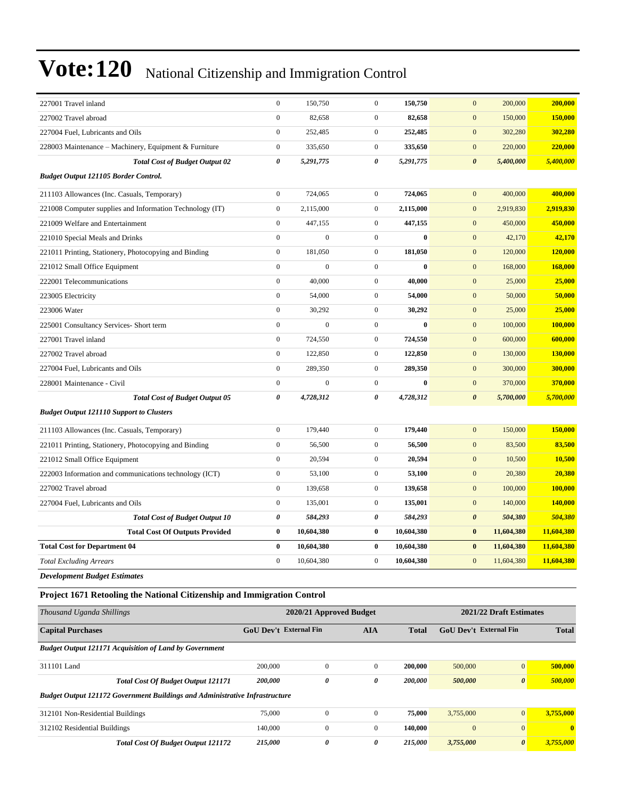| 227001 Travel inland                                                               | $\boldsymbol{0}$       | 150,750                 | $\boldsymbol{0}$ | 150,750      | $\mathbf{0}$           | 200,000                 | 200,000          |
|------------------------------------------------------------------------------------|------------------------|-------------------------|------------------|--------------|------------------------|-------------------------|------------------|
| 227002 Travel abroad                                                               | $\boldsymbol{0}$       | 82,658                  | $\boldsymbol{0}$ | 82,658       | $\boldsymbol{0}$       | 150,000                 | 150,000          |
| 227004 Fuel, Lubricants and Oils                                                   | $\boldsymbol{0}$       | 252,485                 | $\boldsymbol{0}$ | 252,485      | $\mathbf{0}$           | 302,280                 | 302,280          |
| 228003 Maintenance – Machinery, Equipment & Furniture                              | $\boldsymbol{0}$       | 335,650                 | $\mathbf{0}$     | 335,650      | $\mathbf{0}$           | 220,000                 | 220,000          |
| <b>Total Cost of Budget Output 02</b>                                              | 0                      | 5,291,775               | 0                | 5,291,775    | $\boldsymbol{\theta}$  | 5,400,000               | 5,400,000        |
| <b>Budget Output 121105 Border Control.</b>                                        |                        |                         |                  |              |                        |                         |                  |
| 211103 Allowances (Inc. Casuals, Temporary)                                        | $\boldsymbol{0}$       | 724,065                 | $\mathbf{0}$     | 724,065      | $\mathbf{0}$           | 400,000                 | 400,000          |
| 221008 Computer supplies and Information Technology (IT)                           | $\boldsymbol{0}$       | 2,115,000               | $\overline{0}$   | 2,115,000    | $\mathbf{0}$           | 2,919,830               | 2,919,830        |
| 221009 Welfare and Entertainment                                                   | $\boldsymbol{0}$       | 447,155                 | $\boldsymbol{0}$ | 447,155      | $\mathbf{0}$           | 450,000                 | 450,000          |
| 221010 Special Meals and Drinks                                                    | $\boldsymbol{0}$       | $\mathbf{0}$            | $\boldsymbol{0}$ | $\bf{0}$     | $\mathbf{0}$           | 42,170                  | 42,170           |
| 221011 Printing, Stationery, Photocopying and Binding                              | $\boldsymbol{0}$       | 181,050                 | $\boldsymbol{0}$ | 181,050      | $\mathbf{0}$           | 120,000                 | 120,000          |
| 221012 Small Office Equipment                                                      | $\boldsymbol{0}$       | $\boldsymbol{0}$        | $\mathbf{0}$     | $\bf{0}$     | $\mathbf{0}$           | 168,000                 | 168,000          |
| 222001 Telecommunications                                                          | $\boldsymbol{0}$       | 40,000                  | $\overline{0}$   | 40,000       | $\mathbf{0}$           | 25,000                  | 25,000           |
| 223005 Electricity                                                                 | $\boldsymbol{0}$       | 54,000                  | $\boldsymbol{0}$ | 54,000       | $\mathbf{0}$           | 50,000                  | 50,000           |
| 223006 Water                                                                       | $\boldsymbol{0}$       | 30,292                  | $\boldsymbol{0}$ | 30,292       | $\mathbf{0}$           | 25,000                  | 25,000           |
| 225001 Consultancy Services- Short term                                            | $\boldsymbol{0}$       | $\boldsymbol{0}$        | $\overline{0}$   | $\bf{0}$     | $\mathbf{0}$           | 100,000                 | 100,000          |
| 227001 Travel inland                                                               | $\boldsymbol{0}$       | 724,550                 | $\mathbf{0}$     | 724,550      | $\mathbf{0}$           | 600,000                 | 600,000          |
| 227002 Travel abroad                                                               | $\boldsymbol{0}$       | 122,850                 | $\boldsymbol{0}$ | 122,850      | $\mathbf{0}$           | 130,000                 | <b>130,000</b>   |
| 227004 Fuel, Lubricants and Oils                                                   | $\boldsymbol{0}$       | 289,350                 | $\mathbf{0}$     | 289,350      | $\mathbf{0}$           | 300,000                 | 300,000          |
| 228001 Maintenance - Civil                                                         | $\boldsymbol{0}$       | $\mathbf{0}$            | $\overline{0}$   | $\bf{0}$     | $\mathbf{0}$           | 370,000                 | 370,000          |
| <b>Total Cost of Budget Output 05</b>                                              | 0                      | 4,728,312               | 0                | 4,728,312    | $\boldsymbol{\theta}$  | 5,700,000               | 5,700,000        |
| <b>Budget Output 121110 Support to Clusters</b>                                    |                        |                         |                  |              |                        |                         |                  |
| 211103 Allowances (Inc. Casuals, Temporary)                                        | $\boldsymbol{0}$       | 179,440                 | $\mathbf{0}$     | 179,440      | $\mathbf{0}$           | 150,000                 | 150,000          |
| 221011 Printing, Stationery, Photocopying and Binding                              | $\boldsymbol{0}$       | 56,500                  | $\boldsymbol{0}$ | 56,500       | $\mathbf{0}$           | 83,500                  | 83,500           |
| 221012 Small Office Equipment                                                      | $\boldsymbol{0}$       | 20,594                  | $\boldsymbol{0}$ | 20,594       | $\mathbf{0}$           | 10,500                  | 10,500           |
| 222003 Information and communications technology (ICT)                             | $\boldsymbol{0}$       | 53,100                  | $\boldsymbol{0}$ | 53,100       | $\mathbf{0}$           | 20,380                  | 20,380           |
| 227002 Travel abroad                                                               | $\boldsymbol{0}$       | 139,658                 | $\mathbf{0}$     | 139,658      | $\mathbf{0}$           | 100,000                 | 100,000          |
| 227004 Fuel, Lubricants and Oils                                                   | $\boldsymbol{0}$       | 135,001                 | $\mathbf{0}$     | 135,001      | $\mathbf{0}$           | 140,000                 | 140,000          |
| <b>Total Cost of Budget Output 10</b>                                              | 0                      | 584,293                 | 0                | 584,293      | $\boldsymbol{\theta}$  | 504,380                 | 504,380          |
| <b>Total Cost Of Outputs Provided</b>                                              | $\bf{0}$               | 10,604,380              | $\bf{0}$         | 10,604,380   | $\bf{0}$               | 11,604,380              | 11,604,380       |
| <b>Total Cost for Department 04</b>                                                | $\bf{0}$               | 10,604,380              | 0                | 10,604,380   | $\bf{0}$               | 11,604,380              | 11,604,380       |
| <b>Total Excluding Arrears</b>                                                     | $\boldsymbol{0}$       | 10,604,380              | $\boldsymbol{0}$ | 10,604,380   | $\mathbf{0}$           | 11,604,380              | 11,604,380       |
| <b>Development Budget Estimates</b>                                                |                        |                         |                  |              |                        |                         |                  |
| Project 1671 Retooling the National Citizenship and Immigration Control            |                        |                         |                  |              |                        |                         |                  |
| Thousand Uganda Shillings                                                          |                        | 2020/21 Approved Budget |                  |              |                        | 2021/22 Draft Estimates |                  |
| <b>Capital Purchases</b>                                                           | GoU Dev't External Fin |                         | AIA              | <b>Total</b> | GoU Dev't External Fin |                         | <b>Total</b>     |
| <b>Budget Output 121171 Acquisition of Land by Government</b>                      |                        |                         |                  |              |                        |                         |                  |
| 311101 Land                                                                        | 200,000                | $\boldsymbol{0}$        | $\boldsymbol{0}$ | 200,000      | 500,000                | $\mathbf{0}$            | 500,000          |
| Total Cost Of Budget Output 121171                                                 | 200,000                | $\pmb{\theta}$          | $\pmb{\theta}$   | 200,000      | 500,000                | $\pmb{\theta}$          | 500,000          |
| <b>Budget Output 121172 Government Buildings and Administrative Infrastructure</b> |                        |                         |                  |              |                        |                         |                  |
| 312101 Non-Residential Buildings                                                   | 75,000                 | $\boldsymbol{0}$        | $\boldsymbol{0}$ | 75,000       | 3,755,000              | $\mathbf{0}$            | 3,755,000        |
| 312102 Residential Buildings                                                       | 140,000                | $\boldsymbol{0}$        | $\boldsymbol{0}$ | 140,000      | $\boldsymbol{0}$       | $\mathbf{0}$            | $\boldsymbol{0}$ |
| Total Cost Of Budget Output 121172                                                 | 215,000                | 0                       | 0                | 215,000      | 3,755,000              | $\pmb{\theta}$          | 3,755,000        |
|                                                                                    |                        |                         |                  |              |                        |                         |                  |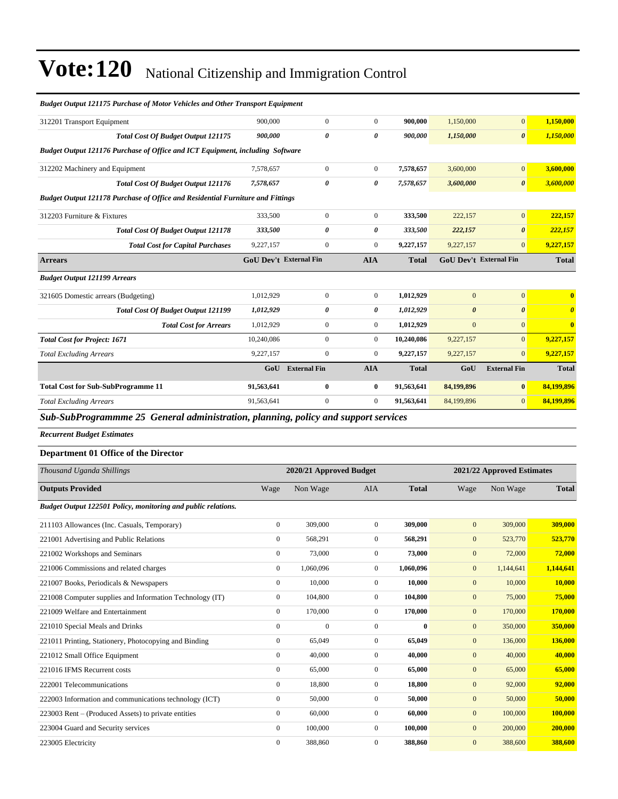| <b>Budget Output 121175 Purchase of Motor Vehicles and Other Transport Equipment</b> |                        |                         |                       |              |                            |                       |                       |  |
|--------------------------------------------------------------------------------------|------------------------|-------------------------|-----------------------|--------------|----------------------------|-----------------------|-----------------------|--|
| 312201 Transport Equipment                                                           | 900,000                | $\mathbf{0}$            | $\mathbf{0}$          | 900,000      | 1,150,000                  | $\boldsymbol{0}$      | 1,150,000             |  |
| <b>Total Cost Of Budget Output 121175</b>                                            | 900,000                | 0                       | $\boldsymbol{\theta}$ | 900,000      | 1,150,000                  | $\boldsymbol{\theta}$ | 1,150,000             |  |
| Budget Output 121176 Purchase of Office and ICT Equipment, including Software        |                        |                         |                       |              |                            |                       |                       |  |
| 312202 Machinery and Equipment                                                       | 7,578,657              | $\boldsymbol{0}$        | $\boldsymbol{0}$      | 7,578,657    | 3,600,000                  | $\boldsymbol{0}$      | 3,600,000             |  |
| Total Cost Of Budget Output 121176                                                   | 7,578,657              | 0                       | 0                     | 7,578,657    | 3,600,000                  | $\boldsymbol{\theta}$ | 3,600,000             |  |
| Budget Output 121178 Purchase of Office and Residential Furniture and Fittings       |                        |                         |                       |              |                            |                       |                       |  |
| 312203 Furniture & Fixtures                                                          | 333,500                | $\boldsymbol{0}$        | $\boldsymbol{0}$      | 333,500      | 222,157                    | $\mathbf{0}$          | 222,157               |  |
| Total Cost Of Budget Output 121178                                                   | 333,500                | 0                       | 0                     | 333,500      | 222,157                    | $\boldsymbol{\theta}$ | 222,157               |  |
| <b>Total Cost for Capital Purchases</b>                                              | 9,227,157              | $\mathbf{0}$            | $\boldsymbol{0}$      | 9,227,157    | 9,227,157                  | $\overline{0}$        | 9,227,157             |  |
| <b>Arrears</b>                                                                       | GoU Dev't External Fin |                         | <b>AIA</b>            | <b>Total</b> | GoU Dev't External Fin     |                       | <b>Total</b>          |  |
| <b>Budget Output 121199 Arrears</b>                                                  |                        |                         |                       |              |                            |                       |                       |  |
| 321605 Domestic arrears (Budgeting)                                                  | 1,012,929              | $\mathbf{0}$            | $\mathbf{0}$          | 1,012,929    | $\overline{0}$             | $\overline{0}$        | $\bf{0}$              |  |
| <b>Total Cost Of Budget Output 121199</b>                                            | 1,012,929              | 0                       | 0                     | 1,012,929    | $\boldsymbol{\theta}$      | $\boldsymbol{\theta}$ | $\boldsymbol{\theta}$ |  |
| <b>Total Cost for Arrears</b>                                                        | 1,012,929              | $\boldsymbol{0}$        | $\boldsymbol{0}$      | 1,012,929    | $\mathbf{0}$               | $\overline{0}$        | $\bf{0}$              |  |
| <b>Total Cost for Project: 1671</b>                                                  | 10,240,086             | $\boldsymbol{0}$        | $\boldsymbol{0}$      | 10,240,086   | 9,227,157                  | $\overline{0}$        | 9,227,157             |  |
| <b>Total Excluding Arrears</b>                                                       | 9,227,157              | $\mathbf{0}$            | $\boldsymbol{0}$      | 9,227,157    | 9,227,157                  | $\overline{0}$        | 9,227,157             |  |
|                                                                                      | GoU                    | <b>External Fin</b>     | <b>AIA</b>            | <b>Total</b> | GoU                        | <b>External Fin</b>   | <b>Total</b>          |  |
| <b>Total Cost for Sub-SubProgramme 11</b>                                            | 91,563,641             | $\bf{0}$                | $\bf{0}$              | 91.563.641   | 84,199,896                 | $\bf{0}$              | 84,199,896            |  |
| <b>Total Excluding Arrears</b>                                                       | 91,563,641             | $\boldsymbol{0}$        | $\boldsymbol{0}$      | 91,563,641   | 84,199,896                 | $\overline{0}$        | 84,199,896            |  |
| Sub-SubProgrammme 25 General administration, planning, policy and support services   |                        |                         |                       |              |                            |                       |                       |  |
| <b>Recurrent Budget Estimates</b>                                                    |                        |                         |                       |              |                            |                       |                       |  |
| Department 01 Office of the Director                                                 |                        |                         |                       |              |                            |                       |                       |  |
| Thousand Uganda Shillings                                                            |                        | 2020/21 Approved Budget |                       |              | 2021/22 Approved Estimates |                       |                       |  |
| <b>Outputs Provided</b>                                                              | Wage                   | Non Wage                | AIA                   | <b>Total</b> | Wage                       | Non Wage              | <b>Total</b>          |  |
| Budget Output 122501 Policy, monitoring and public relations.                        |                        |                         |                       |              |                            |                       |                       |  |
| 211103 Allowances (Inc. Casuals, Temporary)                                          | $\boldsymbol{0}$       | 309,000                 | $\mathbf{0}$          | 309,000      | $\mathbf{0}$               | 309,000               | 309,000               |  |
| 221001 Advertising and Public Relations                                              | $\boldsymbol{0}$       | 568,291                 | $\mathbf{0}$          | 568,291      | $\mathbf{0}$               | 523,770               | 523,770               |  |
| 221002 Workshops and Seminars                                                        | $\boldsymbol{0}$       | 73,000                  | $\boldsymbol{0}$      | 73,000       | $\mathbf{0}$               | 72,000                | 72,000                |  |
| 221006 Commissions and related charges                                               | $\boldsymbol{0}$       | 1,060,096               | $\mathbf{0}$          | 1,060,096    | $\boldsymbol{0}$           | 1,144,641             | 1,144,641             |  |
| 221007 Books, Periodicals & Newspapers                                               | $\boldsymbol{0}$       | 10,000                  | $\mathbf{0}$          | 10,000       | $\mathbf{0}$               | 10,000                | 10,000                |  |
| 221008 Computer supplies and Information Technology (IT)                             | $\boldsymbol{0}$       | 104,800                 | $\boldsymbol{0}$      | 104,800      | $\mathbf{0}$               | 75,000                | 75,000                |  |
| 221009 Welfare and Entertainment                                                     | $\boldsymbol{0}$       | 170,000                 | $\boldsymbol{0}$      | 170,000      | $\boldsymbol{0}$           | 170,000               | 170,000               |  |
| 221010 Special Meals and Drinks                                                      | $\boldsymbol{0}$       | $\boldsymbol{0}$        | $\boldsymbol{0}$      | $\bf{0}$     | $\boldsymbol{0}$           | 350,000               | 350,000               |  |
| 221011 Printing, Stationery, Photocopying and Binding                                | $\boldsymbol{0}$       | 65,049                  | $\boldsymbol{0}$      | 65,049       | $\boldsymbol{0}$           | 136,000               | <b>136,000</b>        |  |
| 221012 Small Office Equipment                                                        | $\boldsymbol{0}$       | 40,000                  | $\mathbf{0}$          | 40,000       | $\mathbf{0}$               | 40,000                | 40,000                |  |
| 221016 IFMS Recurrent costs                                                          | $\boldsymbol{0}$       | 65,000                  | $\boldsymbol{0}$      | 65,000       | $\mathbf{0}$               | 65,000                | 65,000                |  |
| 222001 Telecommunications                                                            | $\boldsymbol{0}$       | 18,800                  | $\boldsymbol{0}$      | 18,800       | $\boldsymbol{0}$           | 92,000                | 92,000                |  |
| 222003 Information and communications technology (ICT)                               | $\boldsymbol{0}$       | 50,000                  | $\boldsymbol{0}$      | 50,000       | $\boldsymbol{0}$           | 50,000                | 50,000                |  |
| 223003 Rent – (Produced Assets) to private entities                                  |                        |                         |                       |              |                            |                       |                       |  |
|                                                                                      | $\boldsymbol{0}$       | 60,000                  | $\boldsymbol{0}$      | 60,000       | $\boldsymbol{0}$           | 100,000               | 100,000               |  |
| 223004 Guard and Security services                                                   | $\boldsymbol{0}$       | 100,000                 | $\boldsymbol{0}$      | 100,000      | $\boldsymbol{0}$           | 200,000               | 200,000<br>388,600    |  |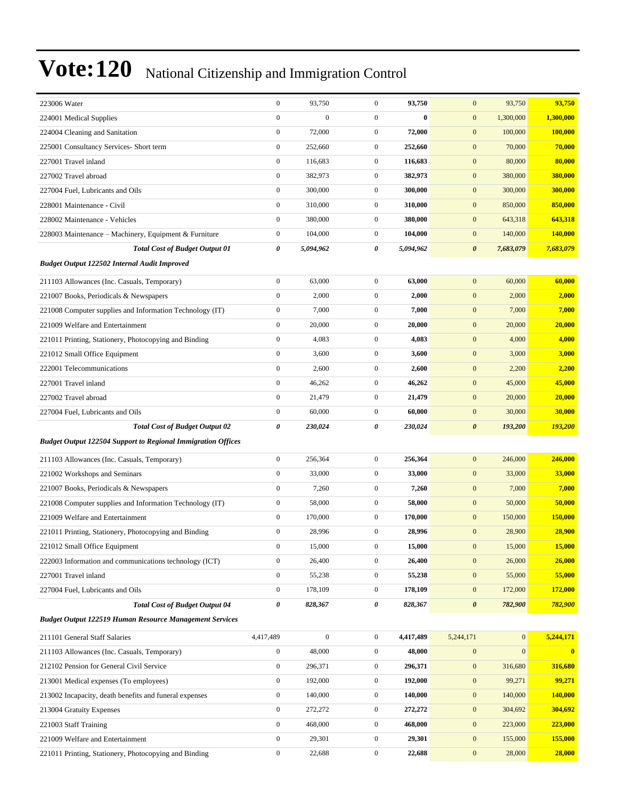| 223006 Water                                                        | $\boldsymbol{0}$      | 93,750           | $\boldsymbol{0}$ | 93,750    | $\mathbf{0}$          | 93,750           | 93,750         |
|---------------------------------------------------------------------|-----------------------|------------------|------------------|-----------|-----------------------|------------------|----------------|
| 224001 Medical Supplies                                             | $\boldsymbol{0}$      | $\mathbf{0}$     | $\mathbf{0}$     | $\bf{0}$  | $\mathbf{0}$          | 1,300,000        | 1,300,000      |
| 224004 Cleaning and Sanitation                                      | $\boldsymbol{0}$      | 72,000           | $\boldsymbol{0}$ | 72,000    | $\mathbf{0}$          | 100,000          | 100,000        |
| 225001 Consultancy Services- Short term                             | $\boldsymbol{0}$      | 252,660          | $\mathbf{0}$     | 252,660   | $\mathbf{0}$          | 70,000           | 70,000         |
| 227001 Travel inland                                                | $\boldsymbol{0}$      | 116,683          | $\mathbf{0}$     | 116,683   | $\mathbf{0}$          | 80,000           | 80,000         |
| 227002 Travel abroad                                                | $\mathbf{0}$          | 382,973          | $\mathbf{0}$     | 382,973   | $\mathbf{0}$          | 380,000          | 380,000        |
| 227004 Fuel, Lubricants and Oils                                    | $\boldsymbol{0}$      | 300,000          | $\boldsymbol{0}$ | 300,000   | $\mathbf{0}$          | 300,000          | 300,000        |
| 228001 Maintenance - Civil                                          | $\boldsymbol{0}$      | 310,000          | $\overline{0}$   | 310,000   | $\mathbf{0}$          | 850,000          | 850,000        |
| 228002 Maintenance - Vehicles                                       | $\boldsymbol{0}$      | 380,000          | $\mathbf{0}$     | 380,000   | $\boldsymbol{0}$      | 643,318          | 643,318        |
| 228003 Maintenance – Machinery, Equipment & Furniture               | $\mathbf{0}$          | 104,000          | $\mathbf{0}$     | 104,000   | $\boldsymbol{0}$      | 140,000          | <b>140,000</b> |
| <b>Total Cost of Budget Output 01</b>                               | 0                     | 5,094,962        | 0                | 5,094,962 | $\boldsymbol{\theta}$ | 7,683,079        | 7,683,079      |
| <b>Budget Output 122502 Internal Audit Improved</b>                 |                       |                  |                  |           |                       |                  |                |
| 211103 Allowances (Inc. Casuals, Temporary)                         | $\boldsymbol{0}$      | 63,000           | $\boldsymbol{0}$ | 63,000    | $\mathbf{0}$          | 60,000           | 60,000         |
| 221007 Books, Periodicals & Newspapers                              | $\boldsymbol{0}$      | 2,000            | $\mathbf{0}$     | 2,000     | $\mathbf{0}$          | 2,000            | 2,000          |
| 221008 Computer supplies and Information Technology (IT)            | $\boldsymbol{0}$      | 7,000            | $\mathbf{0}$     | 7,000     | $\mathbf{0}$          | 7,000            | 7,000          |
| 221009 Welfare and Entertainment                                    | $\boldsymbol{0}$      | 20,000           | $\mathbf{0}$     | 20,000    | $\mathbf{0}$          | 20,000           | 20,000         |
| 221011 Printing, Stationery, Photocopying and Binding               | $\mathbf{0}$          | 4,083            | $\mathbf{0}$     | 4,083     | $\mathbf{0}$          | 4,000            | 4,000          |
| 221012 Small Office Equipment                                       | $\boldsymbol{0}$      | 3,600            | $\mathbf{0}$     | 3,600     | $\mathbf{0}$          | 3,000            | 3,000          |
| 222001 Telecommunications                                           | $\boldsymbol{0}$      | 2,600            | $\mathbf{0}$     | 2,600     | $\mathbf{0}$          | 2,200            | 2,200          |
| 227001 Travel inland                                                | $\boldsymbol{0}$      | 46,262           | $\mathbf{0}$     | 46,262    | $\mathbf{0}$          | 45,000           | 45,000         |
| 227002 Travel abroad                                                | $\boldsymbol{0}$      | 21,479           | $\mathbf{0}$     | 21,479    | $\mathbf{0}$          | 20,000           | 20,000         |
| 227004 Fuel, Lubricants and Oils                                    | $\mathbf{0}$          | 60,000           | $\mathbf{0}$     | 60,000    | $\mathbf{0}$          | 30,000           | 30,000         |
| <b>Total Cost of Budget Output 02</b>                               | 0                     | 230,024          | 0                | 230,024   | $\boldsymbol{\theta}$ | 193,200          | 193,200        |
| <b>Budget Output 122504 Support to Regional Immigration Offices</b> |                       |                  |                  |           |                       |                  |                |
| 211103 Allowances (Inc. Casuals, Temporary)                         | $\boldsymbol{0}$      | 256,364          | $\boldsymbol{0}$ | 256,364   | $\mathbf{0}$          | 246,000          | 246,000        |
| 221002 Workshops and Seminars                                       | $\boldsymbol{0}$      | 33,000           | $\mathbf{0}$     | 33,000    | $\mathbf{0}$          | 33,000           | 33,000         |
| 221007 Books, Periodicals & Newspapers                              | $\boldsymbol{0}$      | 7,260            | $\mathbf{0}$     | 7,260     | $\mathbf{0}$          | 7,000            | 7,000          |
| 221008 Computer supplies and Information Technology (IT)            | $\mathbf{0}$          | 58,000           | $\mathbf{0}$     | 58,000    | $\boldsymbol{0}$      | 50,000           | 50,000         |
| 221009 Welfare and Entertainment                                    | $\mathbf{0}$          | 170,000          | $\boldsymbol{0}$ | 170,000   | $\mathbf{0}$          | 150,000          | 150,000        |
| 221011 Printing, Stationery, Photocopying and Binding               | $\mathbf{0}$          | 28,996           | $\mathbf{0}$     | 28,996    | $\mathbf{0}$          | 28,900           | 28,900         |
| 221012 Small Office Equipment                                       | $\boldsymbol{0}$      | 15,000           | 0                | 15,000    | $\mathbf{0}$          | 15,000           | 15,000         |
| 222003 Information and communications technology (ICT)              | $\boldsymbol{0}$      | 26,400           | $\mathbf{0}$     | 26,400    | $\bf{0}$              | 26,000           | 26,000         |
| 227001 Travel inland                                                | $\boldsymbol{0}$      | 55,238           | $\boldsymbol{0}$ | 55,238    | $\mathbf{0}$          | 55,000           | 55,000         |
| 227004 Fuel, Lubricants and Oils                                    | $\boldsymbol{0}$      | 178,109          | $\boldsymbol{0}$ | 178,109   | $\boldsymbol{0}$      | 172,000          | 172,000        |
| <b>Total Cost of Budget Output 04</b>                               | $\boldsymbol{\theta}$ | 828,367          | 0                | 828,367   | $\boldsymbol{\theta}$ | 782,900          | 782,900        |
| <b>Budget Output 122519 Human Resource Management Services</b>      |                       |                  |                  |           |                       |                  |                |
| 211101 General Staff Salaries                                       | 4,417,489             | $\boldsymbol{0}$ | $\mathbf{0}$     | 4,417,489 | 5,244,171             | $\mathbf{0}$     | 5,244,171      |
| 211103 Allowances (Inc. Casuals, Temporary)                         | $\boldsymbol{0}$      | 48,000           | $\boldsymbol{0}$ | 48,000    | $\boldsymbol{0}$      | $\boldsymbol{0}$ | $\bf{0}$       |
| 212102 Pension for General Civil Service                            | $\boldsymbol{0}$      | 296,371          | $\boldsymbol{0}$ | 296,371   | $\mathbf{0}$          | 316,680          | 316,680        |
| 213001 Medical expenses (To employees)                              | $\boldsymbol{0}$      | 192,000          | $\boldsymbol{0}$ | 192,000   | $\boldsymbol{0}$      | 99,271           | 99,271         |
| 213002 Incapacity, death benefits and funeral expenses              | $\boldsymbol{0}$      | 140,000          | $\boldsymbol{0}$ | 140,000   | $\bf{0}$              | 140,000          | 140,000        |
| 213004 Gratuity Expenses                                            | $\boldsymbol{0}$      | 272,272          | $\boldsymbol{0}$ | 272,272   | $\mathbf{0}$          | 304,692          | 304,692        |
| 221003 Staff Training                                               | $\boldsymbol{0}$      | 468,000          | $\boldsymbol{0}$ | 468,000   | $\mathbf{0}$          | 223,000          | 223,000        |
| 221009 Welfare and Entertainment                                    |                       |                  |                  |           |                       |                  |                |
|                                                                     | $\boldsymbol{0}$      | 29,301           | $\boldsymbol{0}$ | 29,301    | $\mathbf{0}$          | 155,000          | 155,000        |